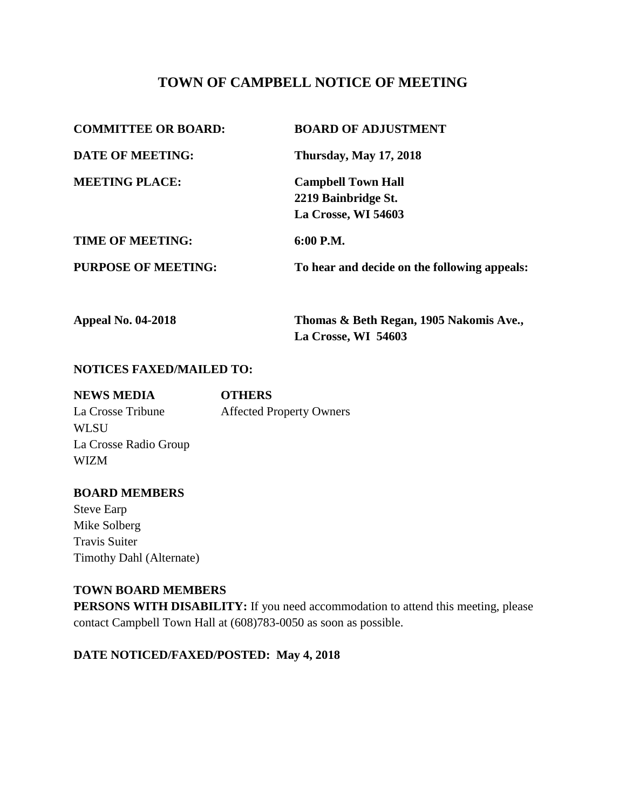# **TOWN OF CAMPBELL NOTICE OF MEETING**

| <b>COMMITTEE OR BOARD:</b> | <b>BOARD OF ADJUSTMENT</b>                   |
|----------------------------|----------------------------------------------|
| <b>DATE OF MEETING:</b>    | <b>Thursday, May 17, 2018</b>                |
| <b>MEETING PLACE:</b>      | <b>Campbell Town Hall</b>                    |
|                            | 2219 Bainbridge St.                          |
|                            | La Crosse, WI 54603                          |
| <b>TIME OF MEETING:</b>    | 6:00 P.M.                                    |
| <b>PURPOSE OF MEETING:</b> | To hear and decide on the following appeals: |
|                            |                                              |

**Appeal No. 04-2018 Thomas & Beth Regan, 1905 Nakomis Ave., La Crosse, WI 54603**

#### **NOTICES FAXED/MAILED TO:**

| <b>NEWS MEDIA</b>     | <b>OTHERS</b>                   |
|-----------------------|---------------------------------|
| La Crosse Tribune     | <b>Affected Property Owners</b> |
| WL SU                 |                                 |
| La Crosse Radio Group |                                 |
| WIZM                  |                                 |

#### **BOARD MEMBERS**

Steve Earp Mike Solberg Travis Suiter Timothy Dahl (Alternate)

### **TOWN BOARD MEMBERS**

**PERSONS WITH DISABILITY:** If you need accommodation to attend this meeting, please contact Campbell Town Hall at (608)783-0050 as soon as possible.

## **DATE NOTICED/FAXED/POSTED: May 4, 2018**